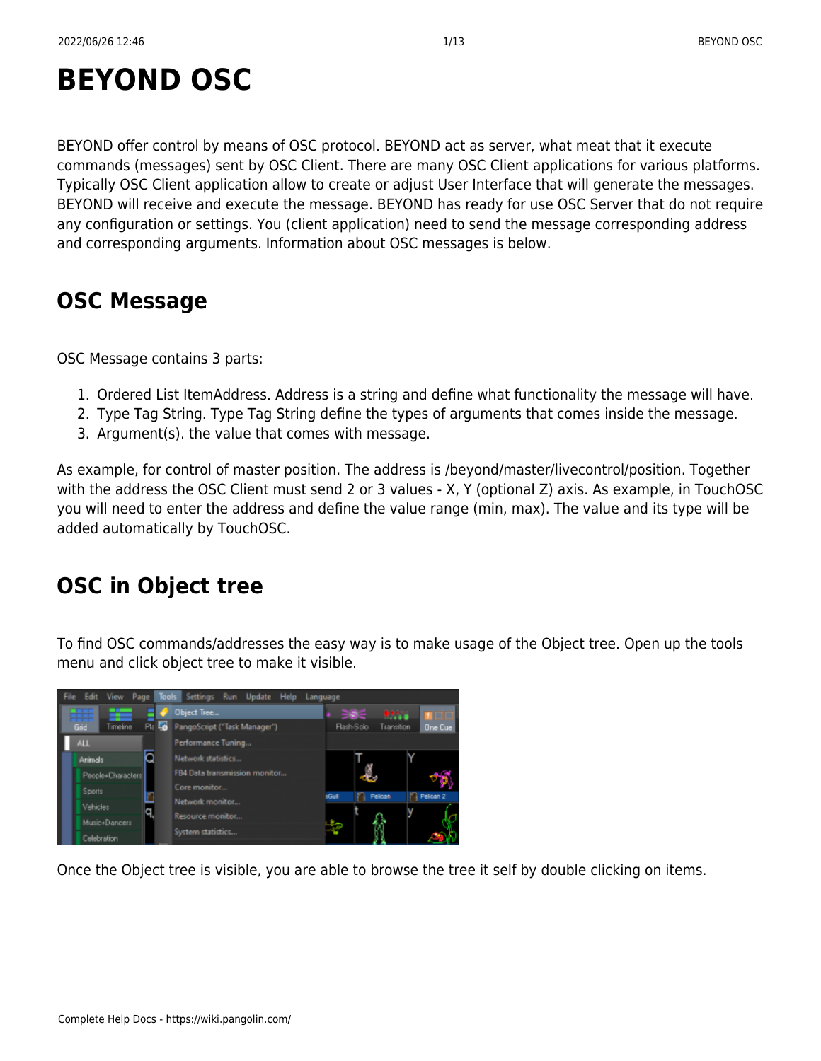# **BEYOND OSC**

BEYOND offer control by means of OSC protocol. BEYOND act as server, what meat that it execute commands (messages) sent by OSC Client. There are many OSC Client applications for various platforms. Typically OSC Client application allow to create or adjust User Interface that will generate the messages. BEYOND will receive and execute the message. BEYOND has ready for use OSC Server that do not require any configuration or settings. You (client application) need to send the message corresponding address and corresponding arguments. Information about OSC messages is below.

# **OSC Message**

OSC Message contains 3 parts:

- 1. Ordered List ItemAddress. Address is a string and define what functionality the message will have.
- 2. Type Tag String. Type Tag String define the types of arguments that comes inside the message.
- 3. Argument(s). the value that comes with message.

As example, for control of master position. The address is /beyond/master/livecontrol/position. Together with the address the OSC Client must send 2 or 3 values - X, Y (optional Z) axis. As example, in TouchOSC you will need to enter the address and define the value range (min, max). The value and its type will be added automatically by TouchOSC.

# **OSC in Object tree**

To find OSC commands/addresses the easy way is to make usage of the Object tree. Open up the tools menu and click object tree to make it visible.



Once the Object tree is visible, you are able to browse the tree it self by double clicking on items.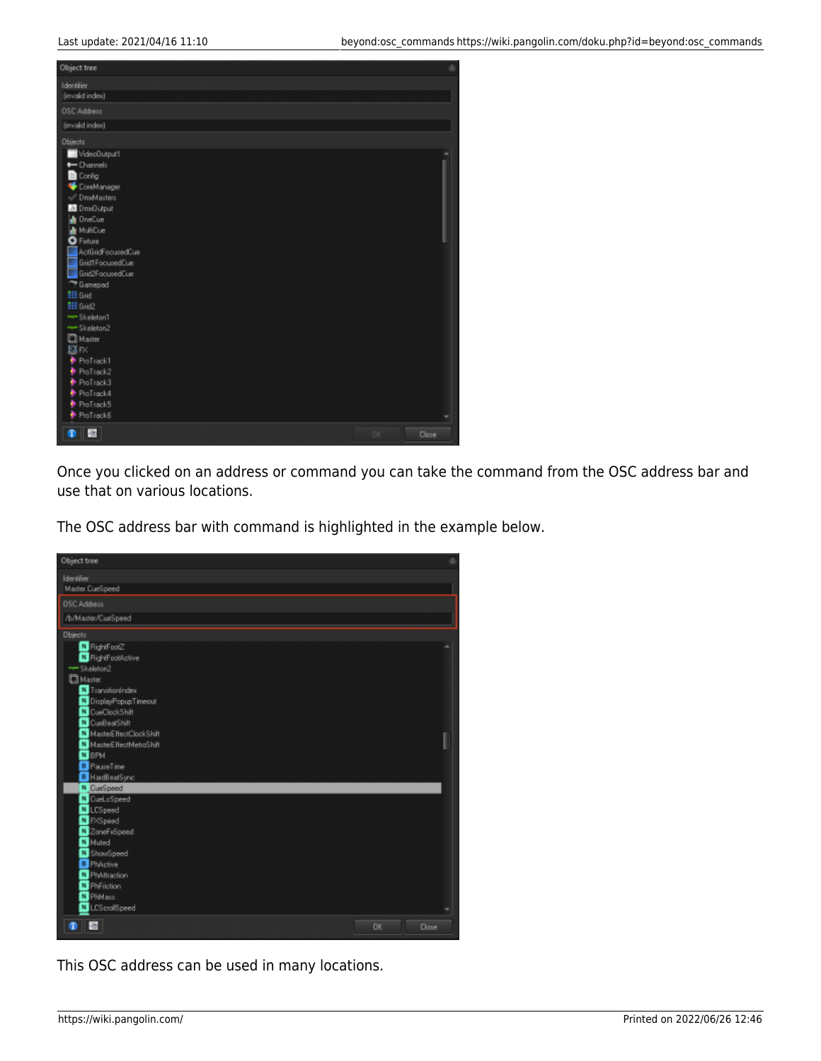

Once you clicked on an address or command you can take the command from the OSC address bar and use that on various locations.

The OSC address bar with command is highlighted in the example below.



This OSC address can be used in many locations.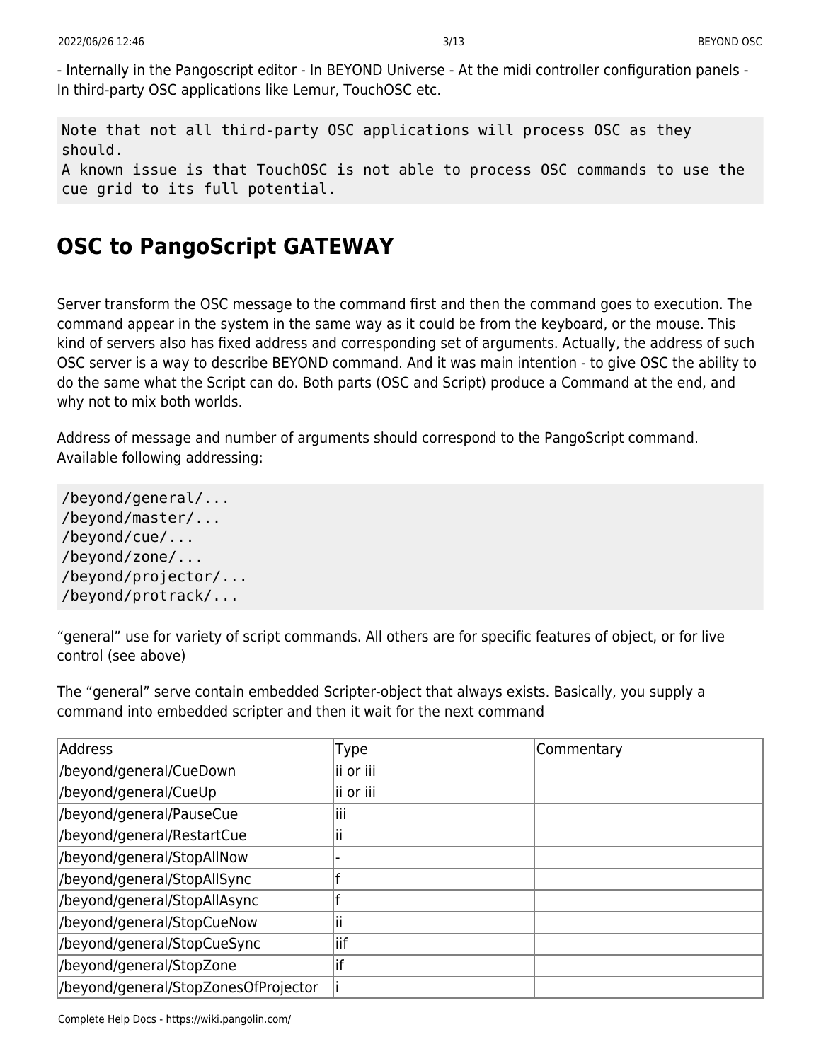- Internally in the Pangoscript editor - In BEYOND Universe - At the midi controller configuration panels - In third-party OSC applications like Lemur, TouchOSC etc.

Note that not all third-party OSC applications will process OSC as they should. A known issue is that TouchOSC is not able to process OSC commands to use the cue grid to its full potential.

## **OSC to PangoScript GATEWAY**

Server transform the OSC message to the command first and then the command goes to execution. The command appear in the system in the same way as it could be from the keyboard, or the mouse. This kind of servers also has fixed address and corresponding set of arguments. Actually, the address of such OSC server is a way to describe BEYOND command. And it was main intention - to give OSC the ability to do the same what the Script can do. Both parts (OSC and Script) produce a Command at the end, and why not to mix both worlds.

Address of message and number of arguments should correspond to the PangoScript command. Available following addressing:

/beyond/general/... /beyond/master/... /beyond/cue/... /beyond/zone/... /beyond/projector/... /beyond/protrack/...

"general" use for variety of script commands. All others are for specific features of object, or for live control (see above)

The "general" serve contain embedded Scripter-object that always exists. Basically, you supply a command into embedded scripter and then it wait for the next command

| Address                              | <b>Type</b> | Commentary |
|--------------------------------------|-------------|------------|
| /beyond/general/CueDown              | lii or iii  |            |
| /beyond/general/CueUp                | ii or iii   |            |
| /beyond/general/PauseCue             | Ш           |            |
| /beyond/general/RestartCue           | Ш           |            |
| /beyond/general/StopAllNow           |             |            |
| /beyond/general/StopAllSync          |             |            |
| /beyond/general/StopAllAsync         |             |            |
| /beyond/general/StopCueNow           |             |            |
| /beyond/general/StopCueSync          | iif         |            |
| /beyond/general/StopZone             | if          |            |
| /beyond/general/StopZonesOfProjector |             |            |

Complete Help Docs - https://wiki.pangolin.com/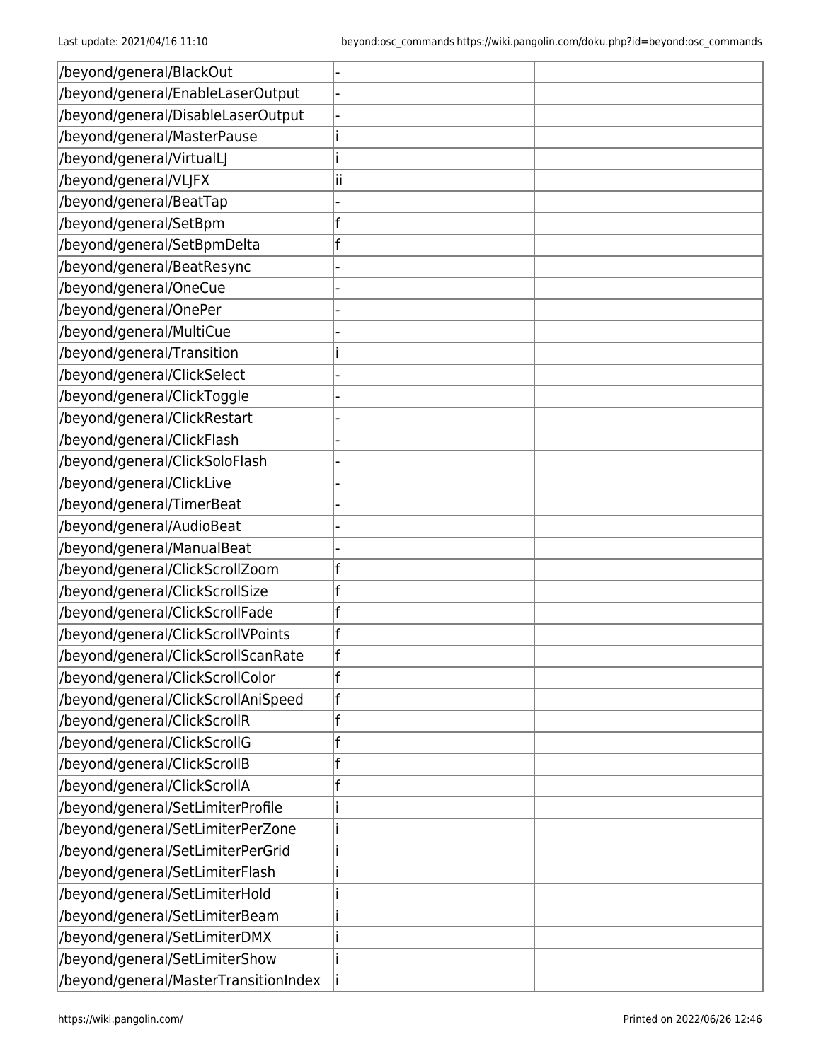| /beyond/general/BlackOut              |    |  |
|---------------------------------------|----|--|
| /beyond/general/EnableLaserOutput     |    |  |
| /beyond/general/DisableLaserOutput    |    |  |
| /beyond/general/MasterPause           |    |  |
| /beyond/general/VirtualLJ             |    |  |
| /beyond/general/VLJFX                 | İΪ |  |
| /beyond/general/BeatTap               |    |  |
| /beyond/general/SetBpm                |    |  |
| /beyond/general/SetBpmDelta           |    |  |
| /beyond/general/BeatResync            |    |  |
| /beyond/general/OneCue                |    |  |
| /beyond/general/OnePer                |    |  |
| /beyond/general/MultiCue              |    |  |
| /beyond/general/Transition            |    |  |
| /beyond/general/ClickSelect           |    |  |
| /beyond/general/ClickToggle           |    |  |
| /beyond/general/ClickRestart          |    |  |
| /beyond/general/ClickFlash            |    |  |
| /beyond/general/ClickSoloFlash        |    |  |
| /beyond/general/ClickLive             |    |  |
| /beyond/general/TimerBeat             |    |  |
| /beyond/general/AudioBeat             |    |  |
| /beyond/general/ManualBeat            |    |  |
| /beyond/general/ClickScrollZoom       |    |  |
| /beyond/general/ClickScrollSize       |    |  |
| /beyond/general/ClickScrollFade       |    |  |
| /beyond/general/ClickScrollVPoints    |    |  |
| /beyond/general/ClickScrollScanRate   |    |  |
| /beyond/general/ClickScrollColor      |    |  |
| /beyond/general/ClickScrollAniSpeed   |    |  |
| /beyond/general/ClickScrollR          |    |  |
| /beyond/general/ClickScrollG          |    |  |
| /beyond/general/ClickScrollB          |    |  |
| /beyond/general/ClickScrollA          |    |  |
| /beyond/general/SetLimiterProfile     |    |  |
| /beyond/general/SetLimiterPerZone     |    |  |
| /beyond/general/SetLimiterPerGrid     |    |  |
| /beyond/general/SetLimiterFlash       |    |  |
| /beyond/general/SetLimiterHold        |    |  |
| /beyond/general/SetLimiterBeam        |    |  |
| /beyond/general/SetLimiterDMX         |    |  |
| /beyond/general/SetLimiterShow        |    |  |
| /beyond/general/MasterTransitionIndex |    |  |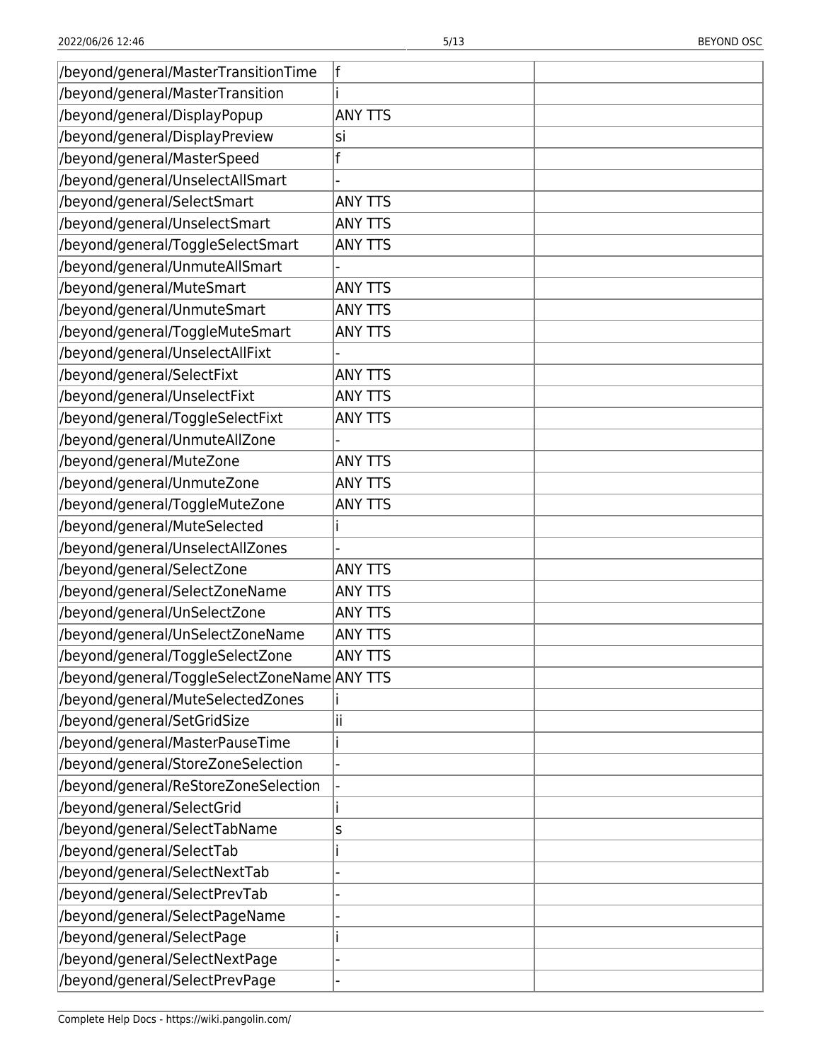| /beyond/general/MasterTransitionTime          | lf             |  |
|-----------------------------------------------|----------------|--|
| /beyond/general/MasterTransition              |                |  |
| /beyond/general/DisplayPopup                  | <b>ANY TTS</b> |  |
| /beyond/general/DisplayPreview                | lsi            |  |
| /beyond/general/MasterSpeed                   | f              |  |
| /beyond/general/UnselectAllSmart              |                |  |
| /beyond/general/SelectSmart                   | <b>ANY TTS</b> |  |
| /beyond/general/UnselectSmart                 | <b>ANY TTS</b> |  |
| /beyond/general/ToggleSelectSmart             | <b>ANY TTS</b> |  |
| /beyond/general/UnmuteAllSmart                |                |  |
| /beyond/general/MuteSmart                     | <b>ANY TTS</b> |  |
| /beyond/general/UnmuteSmart                   | <b>ANY TTS</b> |  |
| /beyond/general/ToggleMuteSmart               | <b>ANY TTS</b> |  |
| /beyond/general/UnselectAllFixt               |                |  |
| /beyond/general/SelectFixt                    | <b>ANY TTS</b> |  |
| /beyond/general/UnselectFixt                  | <b>ANY TTS</b> |  |
| /beyond/general/ToggleSelectFixt              | <b>ANY TTS</b> |  |
| /beyond/general/UnmuteAllZone                 |                |  |
| /beyond/general/MuteZone                      | <b>ANY TTS</b> |  |
| /beyond/general/UnmuteZone                    | <b>ANY TTS</b> |  |
| /beyond/general/ToggleMuteZone                | <b>ANY TTS</b> |  |
| /beyond/general/MuteSelected                  |                |  |
| /beyond/general/UnselectAllZones              |                |  |
| /beyond/general/SelectZone                    | <b>ANY TTS</b> |  |
| /beyond/general/SelectZoneName                | <b>ANY TTS</b> |  |
| /beyond/general/UnSelectZone                  | <b>ANY TTS</b> |  |
| /beyond/general/UnSelectZoneName              | <b>ANY TTS</b> |  |
| /beyond/general/ToggleSelectZone              | <b>ANY TTS</b> |  |
| //beyond/general/ToggleSelectZoneName ANY TTS |                |  |
| /beyond/general/MuteSelectedZones             |                |  |
| /beyond/general/SetGridSize                   | н              |  |
| /beyond/general/MasterPauseTime               |                |  |
| /beyond/general/StoreZoneSelection            |                |  |
| /beyond/general/ReStoreZoneSelection          |                |  |
| /beyond/general/SelectGrid                    |                |  |
| /beyond/general/SelectTabName                 | S              |  |
| /beyond/general/SelectTab                     |                |  |
| /beyond/general/SelectNextTab                 |                |  |
| /beyond/general/SelectPrevTab                 |                |  |
| /beyond/general/SelectPageName                |                |  |
| /beyond/general/SelectPage                    |                |  |
| /beyond/general/SelectNextPage                |                |  |
| /beyond/general/SelectPrevPage                |                |  |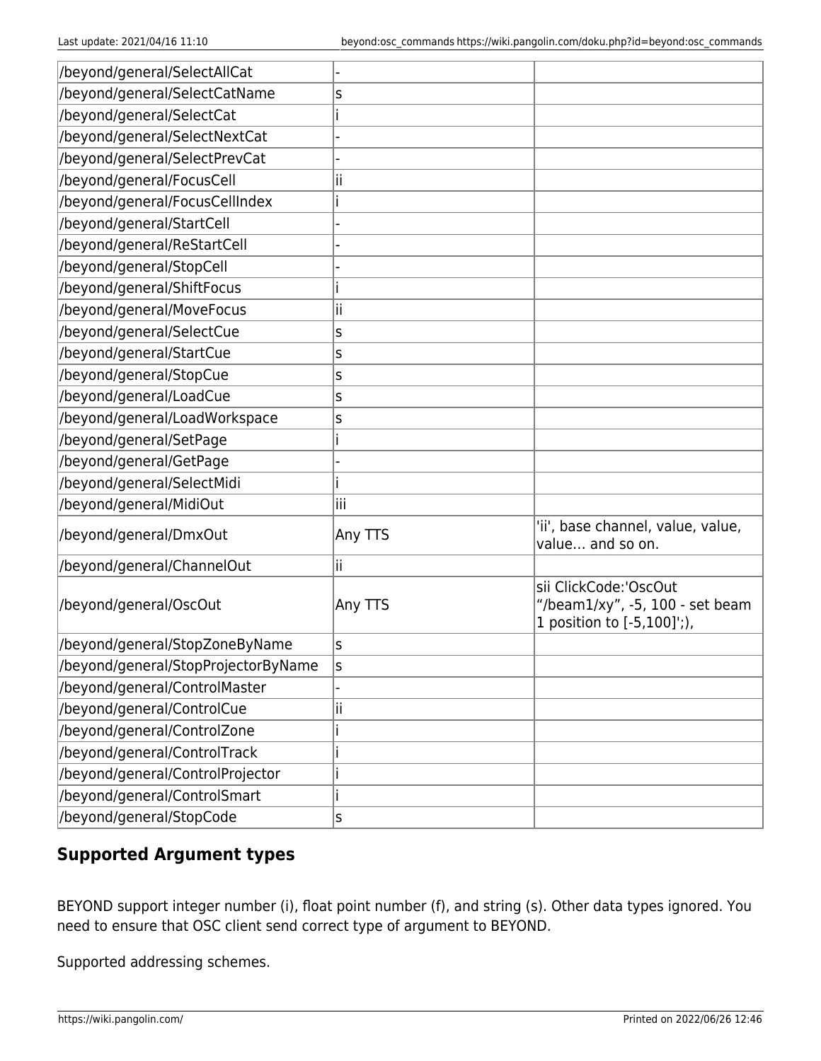| /beyond/general/SelectAllCat        |         |                                                                                        |
|-------------------------------------|---------|----------------------------------------------------------------------------------------|
| /beyond/general/SelectCatName       | S       |                                                                                        |
| /beyond/general/SelectCat           |         |                                                                                        |
| /beyond/general/SelectNextCat       |         |                                                                                        |
| /beyond/general/SelectPrevCat       |         |                                                                                        |
| /beyond/general/FocusCell           | н       |                                                                                        |
| /beyond/general/FocusCellIndex      |         |                                                                                        |
| /beyond/general/StartCell           |         |                                                                                        |
| /beyond/general/ReStartCell         |         |                                                                                        |
| /beyond/general/StopCell            |         |                                                                                        |
| /beyond/general/ShiftFocus          |         |                                                                                        |
| /beyond/general/MoveFocus           | Ш       |                                                                                        |
| /beyond/general/SelectCue           | S       |                                                                                        |
| /beyond/general/StartCue            | S       |                                                                                        |
| /beyond/general/StopCue             | S       |                                                                                        |
| /beyond/general/LoadCue             | S       |                                                                                        |
| /beyond/general/LoadWorkspace       | S       |                                                                                        |
| /beyond/general/SetPage             |         |                                                                                        |
| /beyond/general/GetPage             |         |                                                                                        |
| /beyond/general/SelectMidi          |         |                                                                                        |
| /beyond/general/MidiOut             | iii     |                                                                                        |
| /beyond/general/DmxOut              | Any TTS | 'ii', base channel, value, value,<br>value and so on.                                  |
| /beyond/general/ChannelOut          | ii      |                                                                                        |
| /beyond/general/OscOut              | Any TTS | sii ClickCode:'OscOut<br>"/beam1/xy", -5, 100 - set beam<br>1 position to [-5,100]';), |
| /beyond/general/StopZoneByName      | S       |                                                                                        |
| /beyond/general/StopProjectorByName | S       |                                                                                        |
| /beyond/general/ControlMaster       |         |                                                                                        |
| /beyond/general/ControlCue          | ii      |                                                                                        |
| /beyond/general/ControlZone         |         |                                                                                        |
| /beyond/general/ControlTrack        |         |                                                                                        |
| /beyond/general/ControlProjector    |         |                                                                                        |
| /beyond/general/ControlSmart        |         |                                                                                        |
| /beyond/general/StopCode            | S       |                                                                                        |

#### **Supported Argument types**

BEYOND support integer number (i), float point number (f), and string (s). Other data types ignored. You need to ensure that OSC client send correct type of argument to BEYOND.

Supported addressing schemes.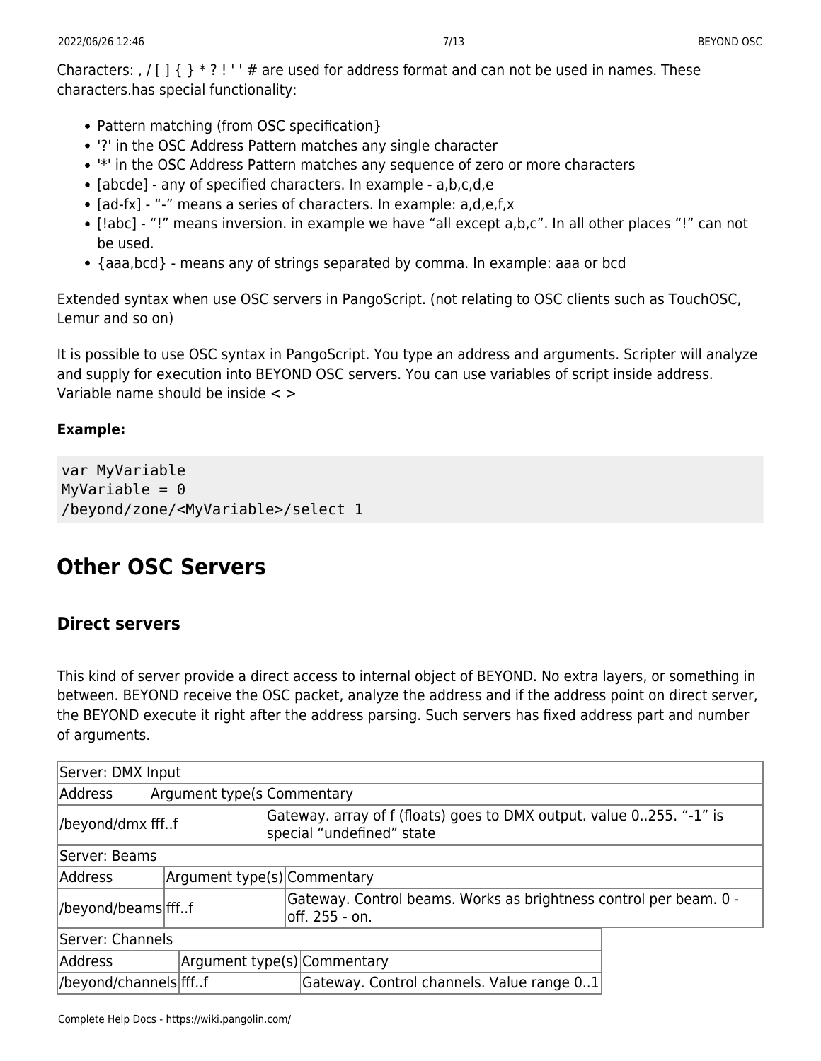Characters: , / [ ]  $\{$   $\}$  \* ? ! ' ' # are used for address format and can not be used in names. These characters.has special functionality:

- Pattern matching (from OSC specification)
- '?' in the OSC Address Pattern matches any single character
- '\*' in the OSC Address Pattern matches any sequence of zero or more characters
- [abcde] any of specified characters. In example a,b,c,d,e
- [ad-fx] "-" means a series of characters. In example: a,d,e,f,x
- [!abc] "!" means inversion. in example we have "all except a,b,c". In all other places "!" can not be used.
- {aaa,bcd} means any of strings separated by comma. In example: aaa or bcd

Extended syntax when use OSC servers in PangoScript. (not relating to OSC clients such as TouchOSC, Lemur and so on)

It is possible to use OSC syntax in PangoScript. You type an address and arguments. Scripter will analyze and supply for execution into BEYOND OSC servers. You can use variables of script inside address. Variable name should be inside  $\lt$   $>$ 

#### **Example:**

```
var MyVariable
MyVariable = 0/beyond/zone/<MyVariable>/select 1
```
### **Other OSC Servers**

#### **Direct servers**

This kind of server provide a direct access to internal object of BEYOND. No extra layers, or something in between. BEYOND receive the OSC packet, analyze the address and if the address point on direct server, the BEYOND execute it right after the address parsing. Such servers has fixed address part and number of arguments.

| Server: DMX Input      |                             |                                                                                                   |                                                                   |  |
|------------------------|-----------------------------|---------------------------------------------------------------------------------------------------|-------------------------------------------------------------------|--|
| Address                | Argument type(s Commentary  |                                                                                                   |                                                                   |  |
| //beyond/dmx ffff      |                             | Gateway. array of f (floats) goes to DMX output. value 0255. "-1" is<br>special "undefined" state |                                                                   |  |
| Server: Beams          |                             |                                                                                                   |                                                                   |  |
| Address                | Argument type(s) Commentary |                                                                                                   |                                                                   |  |
| //beyond/beams ffff    | loff. 255 - on.             |                                                                                                   | Gateway. Control beams. Works as brightness control per beam. 0 - |  |
| Server: Channels       |                             |                                                                                                   |                                                                   |  |
| Address                |                             |                                                                                                   | Argument type(s) Commentary                                       |  |
| //beyond/channels ffff |                             |                                                                                                   | Gateway. Control channels. Value range 01                         |  |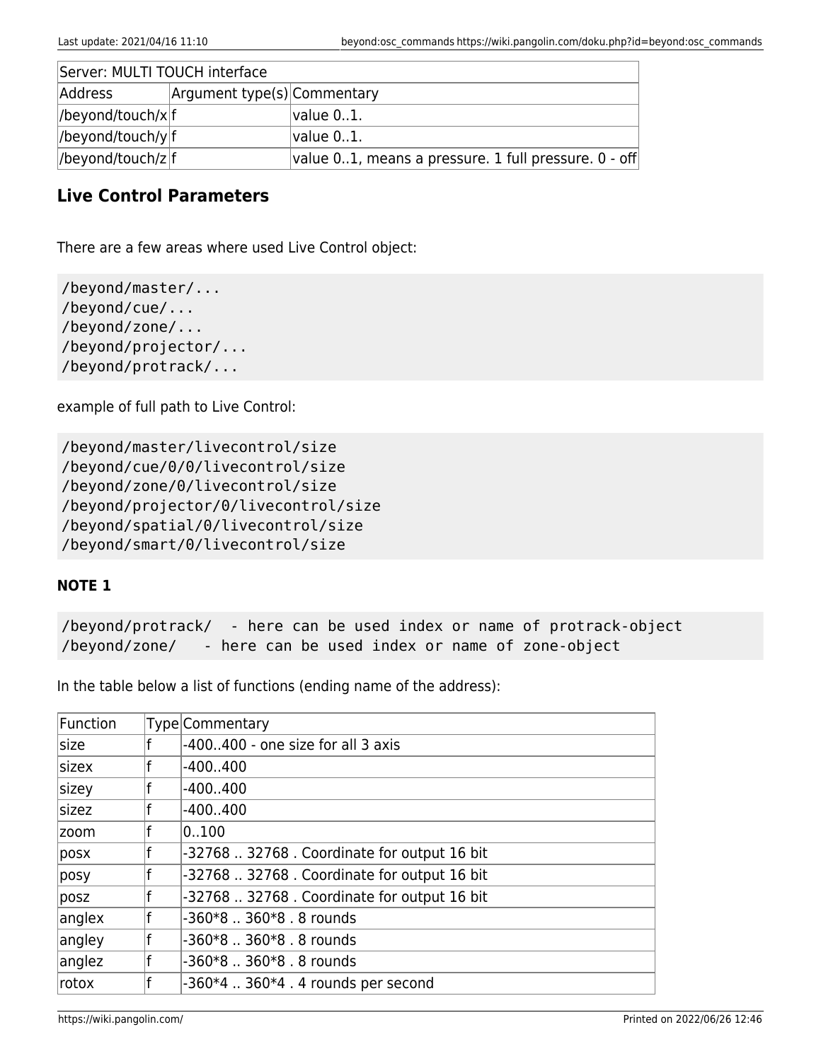| Server: MULTI TOUCH interface |                             |                                                           |  |  |
|-------------------------------|-----------------------------|-----------------------------------------------------------|--|--|
| Address                       | Argument type(s) Commentary |                                                           |  |  |
| $ $ /beyond/touch/x $ f $     |                             | value 01.                                                 |  |  |
| //beyond/touch/y f            |                             | value 01.                                                 |  |  |
| //beyond/touch/z f            |                             | value $01$ , means a pressure. 1 full pressure. $0$ - off |  |  |

#### **Live Control Parameters**

There are a few areas where used Live Control object:

```
/beyond/master/...
/beyond/cue/...
/beyond/zone/...
/beyond/projector/...
/beyond/protrack/...
```
example of full path to Live Control:

/beyond/master/livecontrol/size /beyond/cue/0/0/livecontrol/size /beyond/zone/0/livecontrol/size /beyond/projector/0/livecontrol/size /beyond/spatial/0/livecontrol/size /beyond/smart/0/livecontrol/size

#### **NOTE 1**

/beyond/protrack/ - here can be used index or name of protrack-object /beyond/zone/ - here can be used index or name of zone-object

In the table below a list of functions (ending name of the address):

| Function | Type Commentary                               |
|----------|-----------------------------------------------|
| size     | $-400400$ - one size for all 3 axis           |
| sizex    | $-400400$                                     |
| sizey    | $-400400$                                     |
| sizez    | $-400400$                                     |
| zoom     | 0100                                          |
| posx     | -32768  32768 . Coordinate for output 16 bit  |
| posy     | -32768  32768 . Coordinate for output 16 bit  |
| posz     | -32768  32768 . Coordinate for output 16 bit  |
| anglex   | -360*8  360*8 . 8 rounds                      |
| angley   | -360*8  360*8 . 8 rounds                      |
| anglez   | -360*8  360*8 . 8 rounds                      |
| rotox    | $-360*4$ $\ldots$ 360*4 . 4 rounds per second |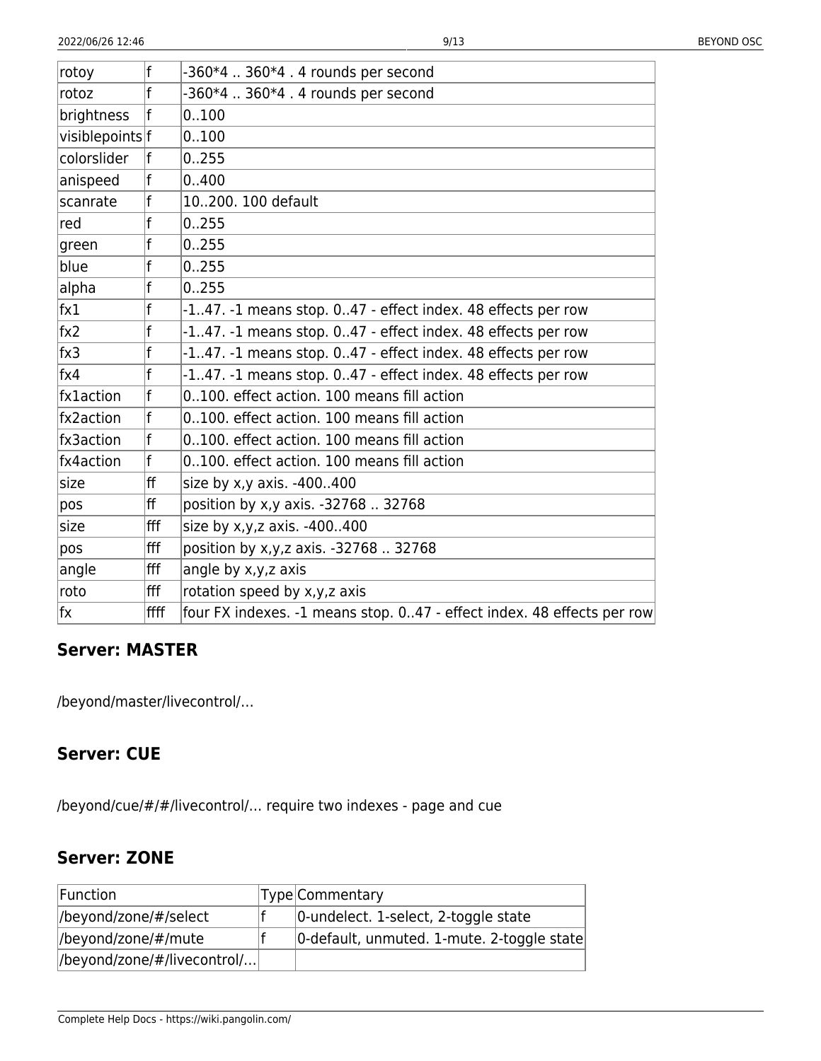| rotoy           | f    | $-360*4$ $\ldots$ 360*4 . 4 rounds per second                          |
|-----------------|------|------------------------------------------------------------------------|
| rotoz           | f    | -360*4  360*4 . 4 rounds per second                                    |
| brightness      | f    | 0.100                                                                  |
| visiblepoints f |      | 0.100                                                                  |
| colorslider     | f    | 0.255                                                                  |
| anispeed        | f    | 0.400                                                                  |
| scanrate        | f    | 10200. 100 default                                                     |
| red             | f    | 0.255                                                                  |
| green           | f    | 0.255                                                                  |
| blue            | f    | 0.255                                                                  |
| alpha           | f    | 0.255                                                                  |
| $\mathsf{fx1}$  | f    | -147. -1 means stop. 047 - effect index. 48 effects per row            |
| $f_{\text{X2}}$ | f    | -147. -1 means stop. 047 - effect index. 48 effects per row            |
| $f \times 3$    | f    | -147. -1 means stop. 047 - effect index. 48 effects per row            |
| $f_{X}4$        | f    | -147. -1 means stop. 047 - effect index. 48 effects per row            |
| fx1action       | f    | 0100. effect action. 100 means fill action                             |
| fx2action       | f    | 0100. effect action. 100 means fill action                             |
| fx3action       | f    | 0100. effect action. 100 means fill action                             |
| fx4action       | f    | 0100. effect action. 100 means fill action                             |
| size            | ff   | size by x,y axis. -400400                                              |
| pos             | ff   | position by x,y axis. -32768  32768                                    |
| size            | fff  | size by x,y,z axis. -400400                                            |
| pos             | fff  | position by x,y,z axis. -32768  32768                                  |
| angle           | fff  | angle by x,y,z axis                                                    |
| roto            | fff  | rotation speed by x,y,z axis                                           |
| lfx.            | ffff | four FX indexes. -1 means stop. 047 - effect index. 48 effects per row |

#### **Server: MASTER**

/beyond/master/livecontrol/…

#### **Server: CUE**

/beyond/cue/#/#/livecontrol/… require two indexes - page and cue

#### **Server: ZONE**

| Function                    | Type Commentary                            |
|-----------------------------|--------------------------------------------|
| //beyond/zone/#/select      | 0-undelect. 1-select, 2-toggle state       |
| //beyond/zone/#/mute        | 0-default, unmuted. 1-mute. 2-toggle state |
| //beyond/zone/#/livecontrol |                                            |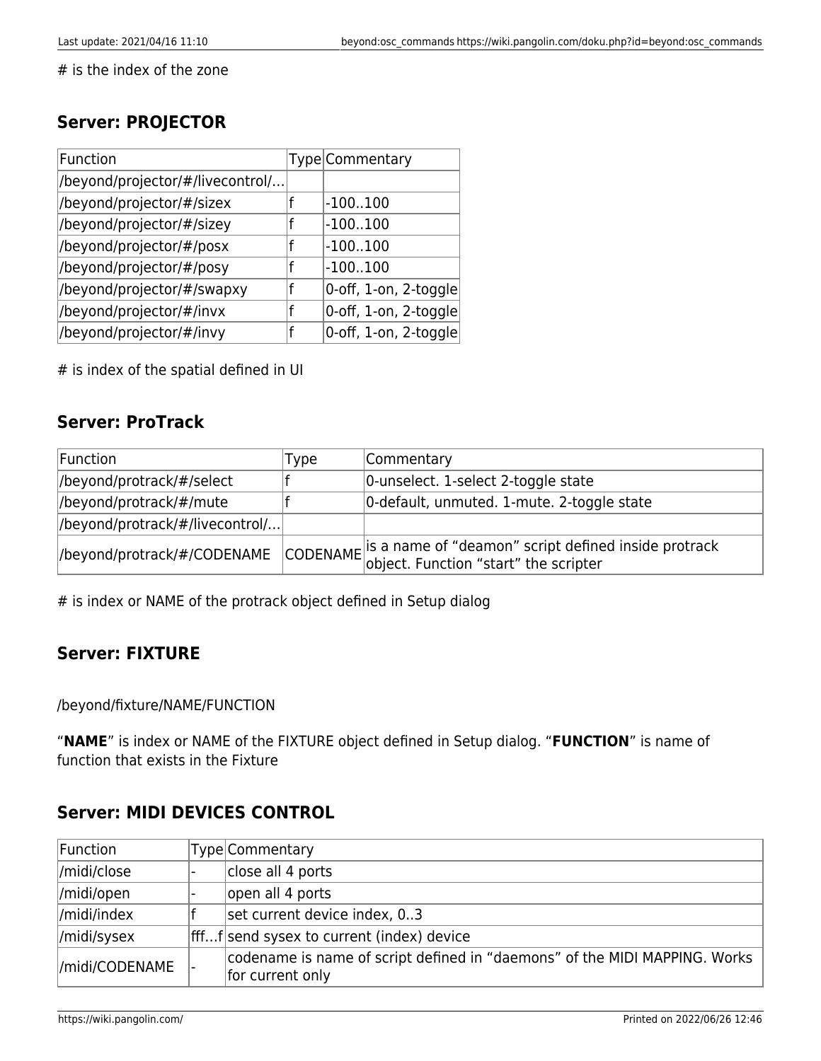# is the index of the zone

#### **Server: PROJECTOR**

| Function                         | Type Commentary       |
|----------------------------------|-----------------------|
| /beyond/projector/#/livecontrol/ |                       |
| /beyond/projector/#/sizex        | $-100100$             |
| /beyond/projector/#/sizey        | $-100100$             |
| /beyond/projector/#/posx         | $-100100$             |
| /beyond/projector/#/posy         | $-100100$             |
| /beyond/projector/#/swapxy       | 0-off, 1-on, 2-toggle |
| /beyond/projector/#/invx         | 0-off, 1-on, 2-toggle |
| /beyond/projector/#/invy         | 0-off, 1-on, 2-toggle |

# is index of the spatial defined in UI

#### **Server: ProTrack**

| Function                         | Type | Commentary                                                                                                               |
|----------------------------------|------|--------------------------------------------------------------------------------------------------------------------------|
| //beyond/protrack/#/select       |      | 0-unselect. 1-select 2-toggle state                                                                                      |
| //beyond/protrack/#/mute         |      | 0-default, unmuted. 1-mute. 2-toggle state                                                                               |
| //beyond/protrack/#/livecontrol/ |      |                                                                                                                          |
| //beyond/protrack/#/CODENAME     |      | $\left $ CODENAME is a name of "deamon" script defined inside protrack<br>CODENAME object. Function "start" the scripter |

# is index or NAME of the protrack object defined in Setup dialog

#### **Server: FIXTURE**

/beyond/fixture/NAME/FUNCTION

"**NAME**" is index or NAME of the FIXTURE object defined in Setup dialog. "**FUNCTION**" is name of function that exists in the Fixture

#### **Server: MIDI DEVICES CONTROL**

| Function        | Type Commentary                                                                                |
|-----------------|------------------------------------------------------------------------------------------------|
| /midi/close     | close all 4 ports                                                                              |
| /midi/open      | open all 4 ports                                                                               |
| //midi/index    | set current device index, 03                                                                   |
| /midi/sysex     | ffff send sysex to current (index) device                                                      |
| //midi/CODENAME | codename is name of script defined in "daemons" of the MIDI MAPPING. Works<br>for current only |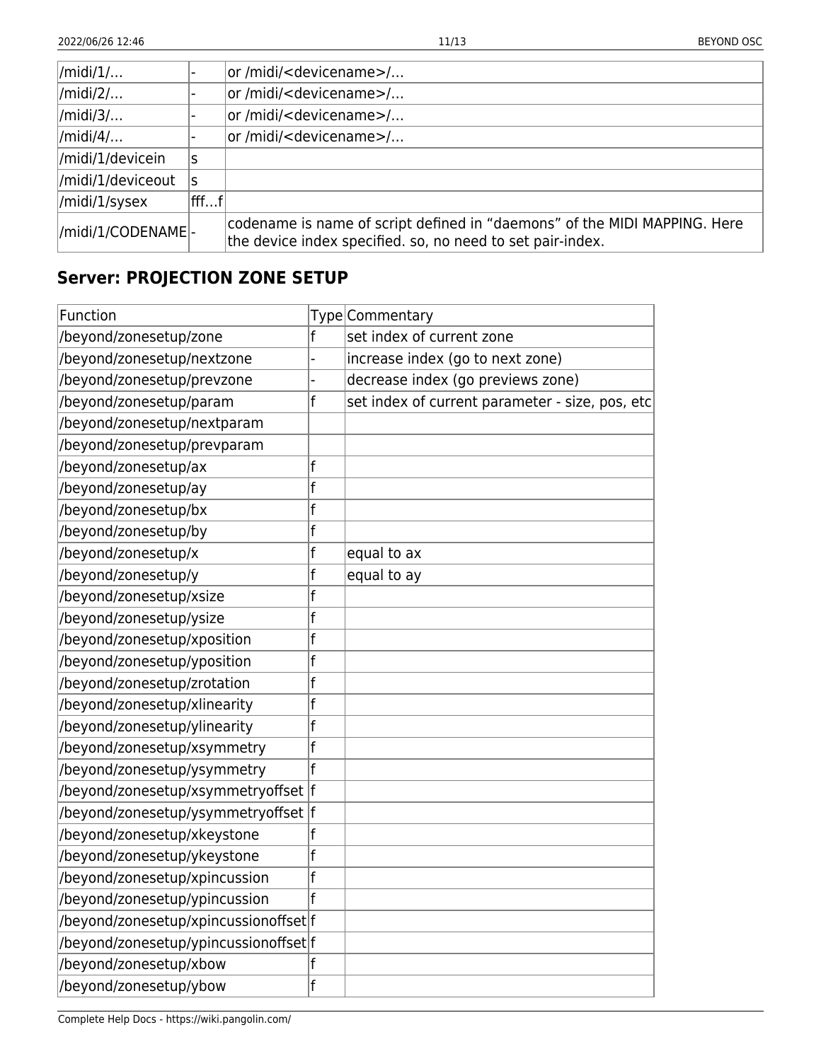| $\vert$ /midi/1/      |                      | or /midi/ <devicename>/</devicename>                                                                                                    |
|-----------------------|----------------------|-----------------------------------------------------------------------------------------------------------------------------------------|
| $\vert$ /midi/2/      |                      | or/midi/ <devicename>/</devicename>                                                                                                     |
| $\vert$ /midi/3/      |                      | or /midi/ <devicename>/</devicename>                                                                                                    |
| $\vert$ /midi/4/      |                      | or/midi/ <devicename>/</devicename>                                                                                                     |
| /midi/1/devicein      | S                    |                                                                                                                                         |
| /midi/1/deviceout     | ls                   |                                                                                                                                         |
| $\vert$ /midi/1/sysex | $ {\sf fff}{\sf f} $ |                                                                                                                                         |
| //midi/1/CODENAME -   |                      | codename is name of script defined in "daemons" of the MIDI MAPPING. Here<br>the device index specified. so, no need to set pair-index. |

### **Server: PROJECTION ZONE SETUP**

| Function                              |             | Type Commentary                                 |
|---------------------------------------|-------------|-------------------------------------------------|
| /beyond/zonesetup/zone                | f           | set index of current zone                       |
| /beyond/zonesetup/nextzone            |             | increase index (go to next zone)                |
| /beyond/zonesetup/prevzone            |             | decrease index (go previews zone)               |
| /beyond/zonesetup/param               | f           | set index of current parameter - size, pos, etc |
| /beyond/zonesetup/nextparam           |             |                                                 |
| /beyond/zonesetup/prevparam           |             |                                                 |
| /beyond/zonesetup/ax                  | f           |                                                 |
| /beyond/zonesetup/ay                  | f           |                                                 |
| /beyond/zonesetup/bx                  | f           |                                                 |
| /beyond/zonesetup/by                  | f           |                                                 |
| /beyond/zonesetup/x                   | f           | equal to ax                                     |
| /beyond/zonesetup/y                   | f           | equal to ay                                     |
| /beyond/zonesetup/xsize               | f           |                                                 |
| /beyond/zonesetup/ysize               | f           |                                                 |
| /beyond/zonesetup/xposition           | f           |                                                 |
| /beyond/zonesetup/yposition           | f           |                                                 |
| /beyond/zonesetup/zrotation           | f           |                                                 |
| /beyond/zonesetup/xlinearity          | f           |                                                 |
| /beyond/zonesetup/ylinearity          | f           |                                                 |
| /beyond/zonesetup/xsymmetry           | f           |                                                 |
| /beyond/zonesetup/ysymmetry           | f           |                                                 |
| /beyond/zonesetup/xsymmetryoffset  f  |             |                                                 |
| /beyond/zonesetup/ysymmetryoffset  f  |             |                                                 |
| /beyond/zonesetup/xkeystone           | f           |                                                 |
| /beyond/zonesetup/ykeystone           | f           |                                                 |
| /beyond/zonesetup/xpincussion         | f           |                                                 |
| /beyond/zonesetup/ypincussion         | $\mathbf f$ |                                                 |
| /beyond/zonesetup/xpincussionoffset f |             |                                                 |
| /beyond/zonesetup/ypincussionoffset f |             |                                                 |
| /beyond/zonesetup/xbow                |             |                                                 |
| /beyond/zonesetup/ybow                | f           |                                                 |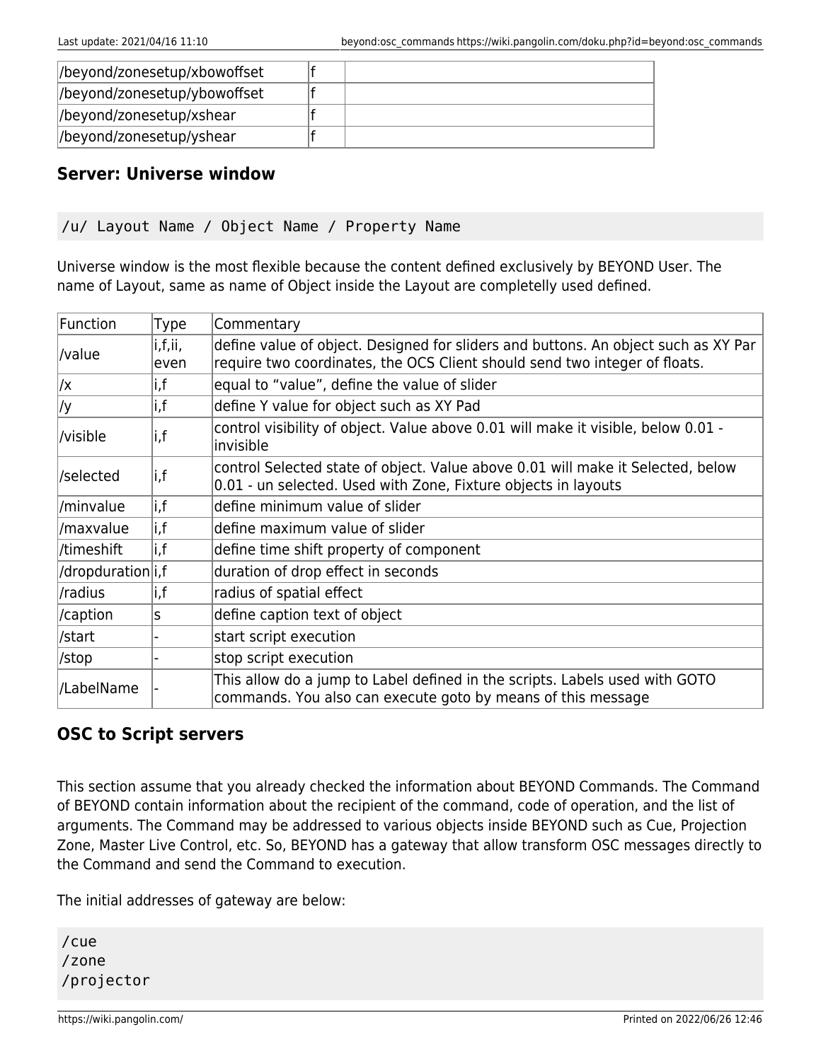| //beyond/zonesetup/xbowoffset |  |  |
|-------------------------------|--|--|
| //beyond/zonesetup/ybowoffset |  |  |
| //beyond/zonesetup/xshear     |  |  |
| //beyond/zonesetup/yshear     |  |  |

#### **Server: Universe window**

```
/u/ Layout Name / Object Name / Property Name
```
Universe window is the most flexible because the content defined exclusively by BEYOND User. The name of Layout, same as name of Object inside the Layout are completelly used defined.

| <b>Function</b>   | Type            | Commentary                                                                                                                                                       |
|-------------------|-----------------|------------------------------------------------------------------------------------------------------------------------------------------------------------------|
| /value            | i,f,ii,<br>even | define value of object. Designed for sliders and buttons. An object such as XY Par<br>require two coordinates, the OCS Client should send two integer of floats. |
| /x                | i,f             | equal to "value", define the value of slider                                                                                                                     |
| /y                | i,f             | define Y value for object such as XY Pad                                                                                                                         |
| /visible          | i,f             | control visibility of object. Value above 0.01 will make it visible, below 0.01 -<br>invisible                                                                   |
| /selected         | i,f             | control Selected state of object. Value above 0.01 will make it Selected, below<br>0.01 - un selected. Used with Zone, Fixture objects in layouts                |
| /minvalue         | i,f             | define minimum value of slider                                                                                                                                   |
| /maxvalue         | i,f             | define maximum value of slider                                                                                                                                   |
| /timeshift        | i,f             | define time shift property of component                                                                                                                          |
| /dropduration i,f |                 | duration of drop effect in seconds                                                                                                                               |
| /radius           | i,f             | radius of spatial effect                                                                                                                                         |
| /caption          | S               | define caption text of object                                                                                                                                    |
| /start            |                 | start script execution                                                                                                                                           |
| /stop             |                 | stop script execution                                                                                                                                            |
| /LabelName        |                 | This allow do a jump to Label defined in the scripts. Labels used with GOTO<br>commands. You also can execute goto by means of this message                      |

#### **OSC to Script servers**

This section assume that you already checked the information about BEYOND Commands. The Command of BEYOND contain information about the recipient of the command, code of operation, and the list of arguments. The Command may be addressed to various objects inside BEYOND such as Cue, Projection Zone, Master Live Control, etc. So, BEYOND has a gateway that allow transform OSC messages directly to the Command and send the Command to execution.

The initial addresses of gateway are below:

/cue /zone /projector